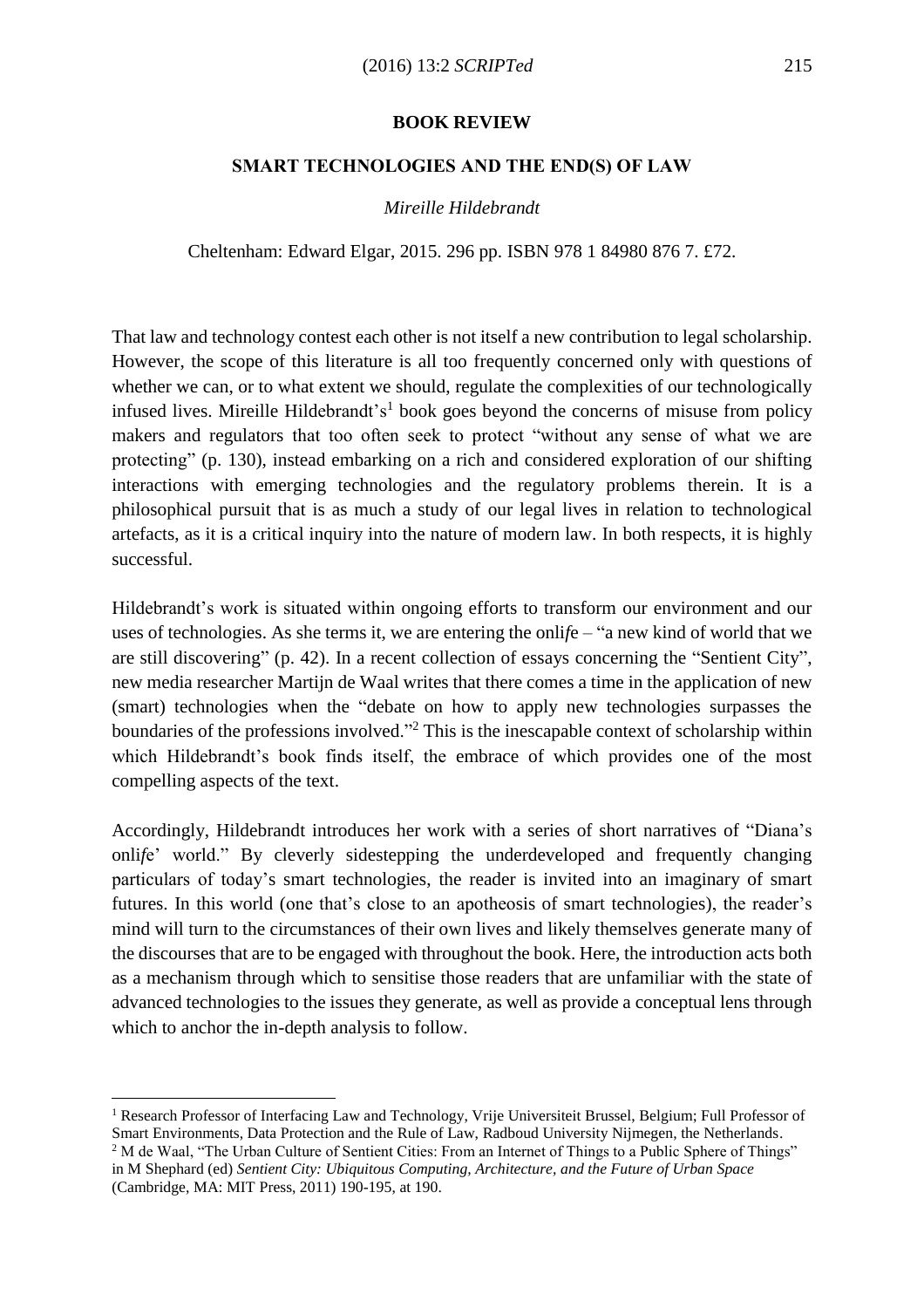## **BOOK REVIEW**

## **SMART TECHNOLOGIES AND THE END(S) OF LAW**

## *Mireille Hildebrandt*

Cheltenham: Edward Elgar, 2015. 296 pp. ISBN 978 1 84980 876 7. £72.

That law and technology contest each other is not itself a new contribution to legal scholarship. However, the scope of this literature is all too frequently concerned only with questions of whether we can, or to what extent we should, regulate the complexities of our technologically infused lives. Mireille Hildebrandt's<sup>1</sup> book goes beyond the concerns of misuse from policy makers and regulators that too often seek to protect "without any sense of what we are protecting" (p. 130), instead embarking on a rich and considered exploration of our shifting interactions with emerging technologies and the regulatory problems therein. It is a philosophical pursuit that is as much a study of our legal lives in relation to technological artefacts, as it is a critical inquiry into the nature of modern law. In both respects, it is highly successful.

Hildebrandt's work is situated within ongoing efforts to transform our environment and our uses of technologies. As she terms it, we are entering the onli*f*e – "a new kind of world that we are still discovering" (p. 42). In a recent collection of essays concerning the "Sentient City", new media researcher Martijn de Waal writes that there comes a time in the application of new (smart) technologies when the "debate on how to apply new technologies surpasses the boundaries of the professions involved."<sup>2</sup> This is the inescapable context of scholarship within which Hildebrandt's book finds itself, the embrace of which provides one of the most compelling aspects of the text.

Accordingly, Hildebrandt introduces her work with a series of short narratives of "Diana's onli*f*e' world." By cleverly sidestepping the underdeveloped and frequently changing particulars of today's smart technologies, the reader is invited into an imaginary of smart futures. In this world (one that's close to an apotheosis of smart technologies), the reader's mind will turn to the circumstances of their own lives and likely themselves generate many of the discourses that are to be engaged with throughout the book. Here, the introduction acts both as a mechanism through which to sensitise those readers that are unfamiliar with the state of advanced technologies to the issues they generate, as well as provide a conceptual lens through which to anchor the in-depth analysis to follow.

 $\overline{a}$ 

<sup>1</sup> Research Professor of Interfacing Law and Technology, Vrije Universiteit Brussel, Belgium; Full Professor of Smart Environments, Data Protection and the Rule of Law, Radboud University Nijmegen, the Netherlands. <sup>2</sup> M de Waal, "The Urban Culture of Sentient Cities: From an Internet of Things to a Public Sphere of Things"

in M Shephard (ed) *Sentient City: Ubiquitous Computing, Architecture, and the Future of Urban Space* (Cambridge, MA: MIT Press, 2011) 190-195, at 190.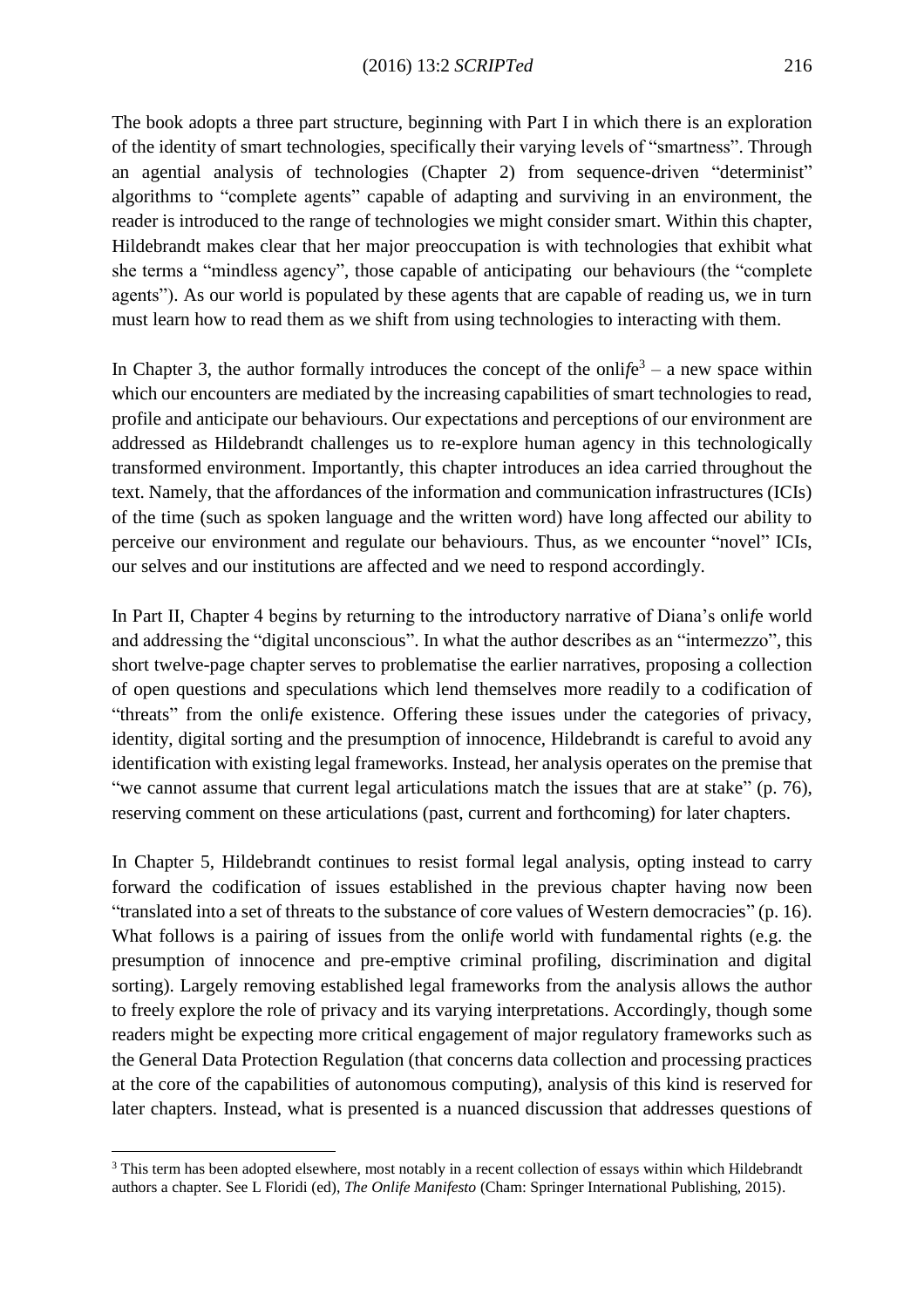The book adopts a three part structure, beginning with Part I in which there is an exploration of the identity of smart technologies, specifically their varying levels of "smartness". Through an agential analysis of technologies (Chapter 2) from sequence-driven "determinist" algorithms to "complete agents" capable of adapting and surviving in an environment, the reader is introduced to the range of technologies we might consider smart. Within this chapter, Hildebrandt makes clear that her major preoccupation is with technologies that exhibit what she terms a "mindless agency", those capable of anticipating our behaviours (the "complete agents"). As our world is populated by these agents that are capable of reading us, we in turn must learn how to read them as we shift from using technologies to interacting with them.

In Chapter 3, the author formally introduces the concept of the onli $f e<sup>3</sup> - a$  new space within which our encounters are mediated by the increasing capabilities of smart technologies to read, profile and anticipate our behaviours. Our expectations and perceptions of our environment are addressed as Hildebrandt challenges us to re-explore human agency in this technologically transformed environment. Importantly, this chapter introduces an idea carried throughout the text. Namely, that the affordances of the information and communication infrastructures (ICIs) of the time (such as spoken language and the written word) have long affected our ability to perceive our environment and regulate our behaviours. Thus, as we encounter "novel" ICIs, our selves and our institutions are affected and we need to respond accordingly.

In Part II, Chapter 4 begins by returning to the introductory narrative of Diana's onli*f*e world and addressing the "digital unconscious". In what the author describes as an "intermezzo", this short twelve-page chapter serves to problematise the earlier narratives, proposing a collection of open questions and speculations which lend themselves more readily to a codification of "threats" from the onli*f*e existence. Offering these issues under the categories of privacy, identity, digital sorting and the presumption of innocence, Hildebrandt is careful to avoid any identification with existing legal frameworks. Instead, her analysis operates on the premise that "we cannot assume that current legal articulations match the issues that are at stake" (p. 76), reserving comment on these articulations (past, current and forthcoming) for later chapters.

In Chapter 5, Hildebrandt continues to resist formal legal analysis, opting instead to carry forward the codification of issues established in the previous chapter having now been "translated into a set of threats to the substance of core values of Western democracies" (p. 16). What follows is a pairing of issues from the onli*f*e world with fundamental rights (e.g. the presumption of innocence and pre-emptive criminal profiling, discrimination and digital sorting). Largely removing established legal frameworks from the analysis allows the author to freely explore the role of privacy and its varying interpretations. Accordingly, though some readers might be expecting more critical engagement of major regulatory frameworks such as the General Data Protection Regulation (that concerns data collection and processing practices at the core of the capabilities of autonomous computing), analysis of this kind is reserved for later chapters. Instead, what is presented is a nuanced discussion that addresses questions of

 $\overline{a}$ 

<sup>&</sup>lt;sup>3</sup> This term has been adopted elsewhere, most notably in a recent collection of essays within which Hildebrandt authors a chapter. See L Floridi (ed), *The Onlife Manifesto* (Cham: Springer International Publishing, 2015).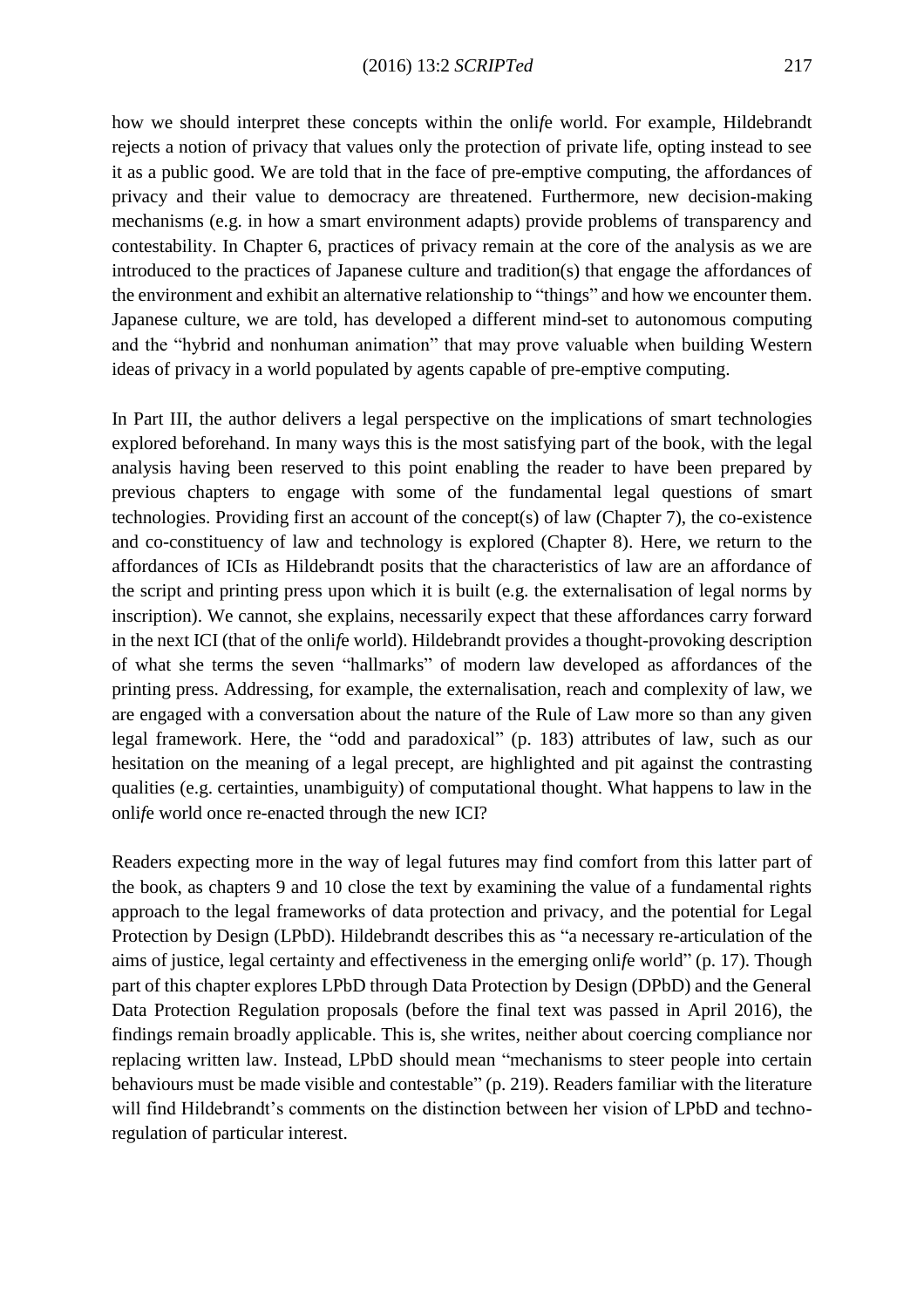how we should interpret these concepts within the onli*f*e world. For example, Hildebrandt rejects a notion of privacy that values only the protection of private life, opting instead to see it as a public good. We are told that in the face of pre-emptive computing, the affordances of privacy and their value to democracy are threatened. Furthermore, new decision-making mechanisms (e.g. in how a smart environment adapts) provide problems of transparency and contestability. In Chapter 6, practices of privacy remain at the core of the analysis as we are introduced to the practices of Japanese culture and tradition(s) that engage the affordances of the environment and exhibit an alternative relationship to "things" and how we encounter them. Japanese culture, we are told, has developed a different mind-set to autonomous computing and the "hybrid and nonhuman animation" that may prove valuable when building Western ideas of privacy in a world populated by agents capable of pre-emptive computing.

In Part III, the author delivers a legal perspective on the implications of smart technologies explored beforehand. In many ways this is the most satisfying part of the book, with the legal analysis having been reserved to this point enabling the reader to have been prepared by previous chapters to engage with some of the fundamental legal questions of smart technologies. Providing first an account of the concept(s) of law (Chapter 7), the co-existence and co-constituency of law and technology is explored (Chapter 8). Here, we return to the affordances of ICIs as Hildebrandt posits that the characteristics of law are an affordance of the script and printing press upon which it is built (e.g. the externalisation of legal norms by inscription). We cannot, she explains, necessarily expect that these affordances carry forward in the next ICI (that of the onli*f*e world). Hildebrandt provides a thought-provoking description of what she terms the seven "hallmarks" of modern law developed as affordances of the printing press. Addressing, for example, the externalisation, reach and complexity of law, we are engaged with a conversation about the nature of the Rule of Law more so than any given legal framework. Here, the "odd and paradoxical" (p. 183) attributes of law, such as our hesitation on the meaning of a legal precept, are highlighted and pit against the contrasting qualities (e.g. certainties, unambiguity) of computational thought. What happens to law in the onli*f*e world once re-enacted through the new ICI?

Readers expecting more in the way of legal futures may find comfort from this latter part of the book, as chapters 9 and 10 close the text by examining the value of a fundamental rights approach to the legal frameworks of data protection and privacy, and the potential for Legal Protection by Design (LPbD). Hildebrandt describes this as "a necessary re-articulation of the aims of justice, legal certainty and effectiveness in the emerging onli*f*e world" (p. 17). Though part of this chapter explores LPbD through Data Protection by Design (DPbD) and the General Data Protection Regulation proposals (before the final text was passed in April 2016), the findings remain broadly applicable. This is, she writes, neither about coercing compliance nor replacing written law. Instead, LPbD should mean "mechanisms to steer people into certain behaviours must be made visible and contestable" (p. 219). Readers familiar with the literature will find Hildebrandt's comments on the distinction between her vision of LPbD and technoregulation of particular interest.